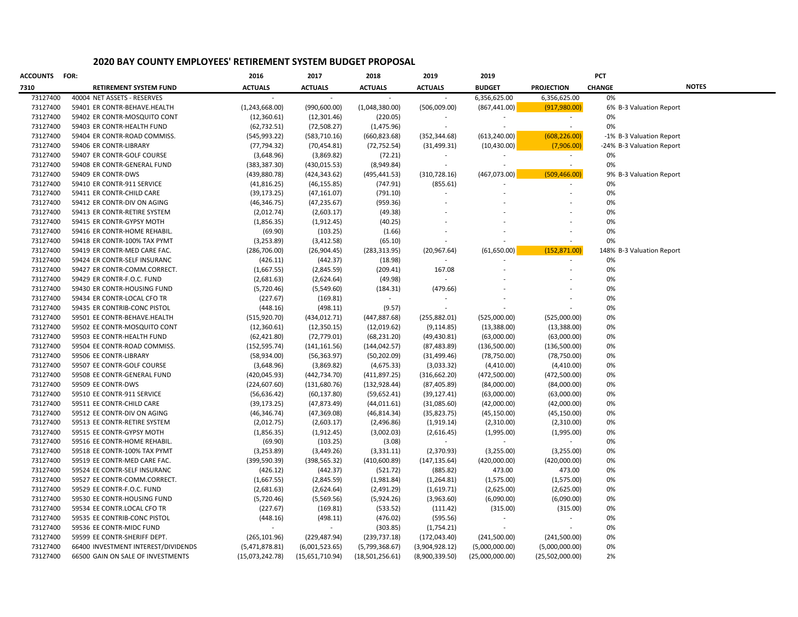## **2020 BAY COUNTY EMPLOYEES' RETIREMENT SYSTEM BUDGET PROPOSAL**

| ACCOUNTS | FOR:                                | 2016            | 2017            | 2018            | 2019           | 2019            |                   | <b>PCT</b>                |              |
|----------|-------------------------------------|-----------------|-----------------|-----------------|----------------|-----------------|-------------------|---------------------------|--------------|
| 7310     | RETIREMENT SYSTEM FUND              | <b>ACTUALS</b>  | <b>ACTUALS</b>  | <b>ACTUALS</b>  | <b>ACTUALS</b> | <b>BUDGET</b>   | <b>PROJECTION</b> | <b>CHANGE</b>             | <b>NOTES</b> |
| 73127400 | 40004 NET ASSETS - RESERVES         |                 |                 |                 |                | 6,356,625.00    | 6,356,625.00      | 0%                        |              |
| 73127400 | 59401 ER CONTR-BEHAVE.HEALTH        | (1,243,668.00)  | (990, 600.00)   | (1,048,380.00)  | (506,009.00)   | (867, 441.00)   | (917, 980.00)     | 6% B-3 Valuation Report   |              |
| 73127400 | 59402 ER CONTR-MOSQUITO CONT        | (12, 360.61)    | (12, 301.46)    | (220.05)        |                |                 | $\sim$            | 0%                        |              |
| 73127400 | 59403 ER CONTR-HEALTH FUND          | (62, 732.51)    | (72, 508.27)    | (1,475.96)      |                |                 | $\sim$            | 0%                        |              |
| 73127400 | 59404 ER CONTR-ROAD COMMISS.        | (545, 993.22)   | (583,710.16)    | (660, 823.68)   | (352, 344.68)  | (613, 240.00)   | (608, 226.00)     | -1% B-3 Valuation Report  |              |
| 73127400 | 59406 ER CONTR-LIBRARY              | (77, 794.32)    | (70, 454.81)    | (72, 752.54)    | (31, 499.31)   | (10, 430.00)    | (7,906.00)        | -24% B-3 Valuation Report |              |
| 73127400 | 59407 ER CONTR-GOLF COURSE          | (3,648.96)      | (3,869.82)      | (72.21)         |                |                 | $\sim$            | 0%                        |              |
| 73127400 | 59408 ER CONTR-GENERAL FUND         | (383, 387.30)   | (430, 015.53)   | (8,949.84)      |                |                 |                   | 0%                        |              |
| 73127400 | 59409 ER CONTR-DWS                  | (439, 880.78)   | (424, 343.62)   | (495, 441.53)   | (310, 728.16)  | (467, 073.00)   | (509, 466.00)     | 9% B-3 Valuation Report   |              |
| 73127400 | 59410 ER CONTR-911 SERVICE          | (41, 816.25)    | (46, 155.85)    | (747.91)        | (855.61)       |                 |                   | 0%                        |              |
| 73127400 | 59411 ER CONTR-CHILD CARE           | (39, 173.25)    | (47, 161.07)    | (791.10)        |                |                 |                   | 0%                        |              |
| 73127400 | 59412 ER CONTR-DIV ON AGING         | (46, 346.75)    | (47, 235.67)    | (959.36)        |                |                 |                   | 0%                        |              |
| 73127400 | 59413 ER CONTR-RETIRE SYSTEM        | (2,012.74)      | (2,603.17)      | (49.38)         |                |                 |                   | 0%                        |              |
| 73127400 | 59415 ER CONTR-GYPSY MOTH           | (1,856.35)      | (1,912.45)      | (40.25)         |                |                 |                   | 0%                        |              |
| 73127400 | 59416 ER CONTR-HOME REHABIL.        | (69.90)         | (103.25)        | (1.66)          |                |                 |                   | 0%                        |              |
| 73127400 | 59418 ER CONTR-100% TAX PYMT        | (3, 253.89)     | (3, 412.58)     | (65.10)         |                |                 |                   | 0%                        |              |
| 73127400 | 59419 ER CONTR-MED CARE FAC.        | (286, 706.00)   | (26,904.45)     | (283, 313.95)   | (20, 967.64)   | (61,650.00)     | (152, 871.00)     | 148% B-3 Valuation Report |              |
| 73127400 | 59424 ER CONTR-SELF INSURANC        | (426.11)        | (442.37)        | (18.98)         |                |                 |                   | 0%                        |              |
| 73127400 | 59427 ER CONTR-COMM.CORRECT.        | (1,667.55)      | (2,845.59)      | (209.41)        | 167.08         |                 |                   | 0%                        |              |
| 73127400 | 59429 ER CONTR-F.O.C. FUND          | (2,681.63)      | (2,624.64)      | (49.98)         |                |                 |                   | 0%                        |              |
| 73127400 | 59430 ER CONTR-HOUSING FUND         | (5,720.46)      | (5,549.60)      | (184.31)        | (479.66)       |                 |                   | 0%                        |              |
| 73127400 | 59434 ER CONTR-LOCAL CFO TR         | (227.67)        | (169.81)        | $\sim$          |                |                 |                   | 0%                        |              |
| 73127400 | 59435 ER CONTRIB-CONC PISTOL        | (448.16)        | (498.11)        | (9.57)          |                |                 |                   | 0%                        |              |
| 73127400 | 59501 EE CONTR-BEHAVE.HEALTH        | (515, 920.70)   | (434, 012.71)   | (447, 887.68)   | (255, 882.01)  | (525,000.00)    | (525,000.00)      | 0%                        |              |
| 73127400 | 59502 EE CONTR-MOSQUITO CONT        | (12,360.61)     | (12, 350.15)    | (12,019.62)     | (9, 114.85)    | (13,388.00)     | (13,388.00)       | 0%                        |              |
| 73127400 | 59503 EE CONTR-HEALTH FUND          | (62, 421.80)    | (72, 779.01)    | (68, 231.20)    | (49, 430.81)   | (63,000.00)     | (63,000.00)       | 0%                        |              |
| 73127400 | 59504 EE CONTR-ROAD COMMISS.        | (152, 595.74)   | (141,161.56)    | (144, 042.57)   | (87, 483.89)   | (136,500.00)    | (136,500.00)      | 0%                        |              |
| 73127400 | 59506 EE CONTR-LIBRARY              | (58,934.00)     | (56, 363.97)    | (50, 202.09)    | (31, 499.46)   | (78, 750.00)    | (78, 750.00)      | 0%                        |              |
| 73127400 | 59507 EE CONTR-GOLF COURSE          | (3,648.96)      | (3,869.82)      | (4,675.33)      | (3,033.32)     | (4,410.00)      | (4,410.00)        | 0%                        |              |
| 73127400 | 59508 EE CONTR-GENERAL FUND         | (420, 045.93)   | (442, 734.70)   | (411, 897.25)   | (316, 662.20)  | (472,500.00)    | (472,500.00)      | 0%                        |              |
| 73127400 | 59509 EE CONTR-DWS                  | (224, 607.60)   | (131, 680.76)   | (132, 928.44)   | (87, 405.89)   | (84,000.00)     | (84,000.00)       | 0%                        |              |
| 73127400 | 59510 EE CONTR-911 SERVICE          | (56, 636.42)    | (60, 137.80)    | (59, 652.41)    | (39, 127.41)   | (63,000.00)     | (63,000.00)       | 0%                        |              |
| 73127400 | 59511 EE CONTR-CHILD CARE           | (39, 173.25)    | (47, 873.49)    | (44, 011.61)    | (31,085.60)    | (42,000.00)     | (42,000.00)       | 0%                        |              |
| 73127400 | 59512 EE CONTR-DIV ON AGING         | (46, 346.74)    | (47, 369.08)    | (46, 814.34)    | (35, 823.75)   | (45, 150.00)    | (45, 150.00)      | 0%                        |              |
| 73127400 | 59513 EE CONTR-RETIRE SYSTEM        | (2,012.75)      | (2,603.17)      | (2,496.86)      | (1,919.14)     | (2,310.00)      | (2,310.00)        | 0%                        |              |
| 73127400 | 59515 EE CONTR-GYPSY MOTH           | (1,856.35)      | (1,912.45)      | (3,002.03)      | (2,616.45)     | (1,995.00)      | (1,995.00)        | 0%                        |              |
| 73127400 | 59516 EE CONTR-HOME REHABIL.        | (69.90)         | (103.25)        | (3.08)          |                |                 |                   | 0%                        |              |
| 73127400 | 59518 EE CONTR-100% TAX PYMT        | (3, 253.89)     | (3,449.26)      | (3,331.11)      | (2,370.93)     | (3,255.00)      | (3,255.00)        | 0%                        |              |
| 73127400 | 59519 EE CONTR-MED CARE FAC.        | (399, 590.39)   | (398, 565.32)   | (410,600.89)    | (147, 135.64)  | (420,000.00)    | (420,000.00)      | 0%                        |              |
| 73127400 | 59524 EE CONTR-SELF INSURANC        | (426.12)        | (442.37)        | (521.72)        | (885.82)       | 473.00          | 473.00            | 0%                        |              |
| 73127400 | 59527 EE CONTR-COMM.CORRECT.        | (1,667.55)      | (2,845.59)      | (1,981.84)      | (1,264.81)     | (1,575.00)      | (1,575.00)        | 0%                        |              |
| 73127400 | 59529 EE CONTR-F.O.C. FUND          | (2,681.63)      | (2,624.64)      | (2,491.29)      | (1,619.71)     | (2,625.00)      | (2,625.00)        | 0%                        |              |
| 73127400 | 59530 EE CONTR-HOUSING FUND         | (5,720.46)      | (5,569.56)      | (5,924.26)      | (3,963.60)     | (6,090.00)      | (6,090.00)        | 0%                        |              |
| 73127400 | 59534 EE CONTR.LOCAL CFO TR         | (227.67)        | (169.81)        | (533.52)        | (111.42)       | (315.00)        | (315.00)          | 0%                        |              |
| 73127400 | 59535 EE CONTRIB-CONC PISTOL        | (448.16)        | (498.11)        | (476.02)        | (595.56)       |                 |                   | 0%                        |              |
| 73127400 | 59536 EE CONTR-MIDC FUND            |                 |                 | (303.85)        | (1,754.21)     |                 |                   | 0%                        |              |
| 73127400 | 59599 EE CONTR-SHERIFF DEPT.        | (265, 101.96)   | (229, 487.94)   | (239, 737.18)   | (172, 043.40)  | (241,500.00)    | (241,500.00)      | 0%                        |              |
| 73127400 | 66400 INVESTMENT INTEREST/DIVIDENDS | (5,471,878.81)  | (6,001,523.65)  | (5,799,368.67)  | (3,904,928.12) | (5,000,000.00)  | (5,000,000.00)    | 0%                        |              |
| 73127400 | 66500 GAIN ON SALE OF INVESTMENTS   | (15,073,242.78) | (15,651,710.94) | (18,501,256.61) | (8,900,339.50) | (25,000,000.00) | (25,502,000.00)   | 2%                        |              |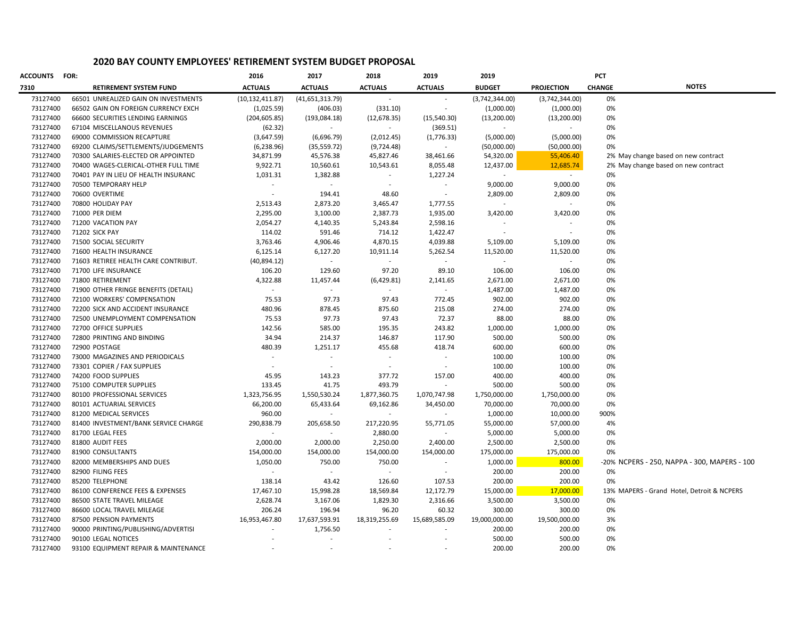## **2020 BAY COUNTY EMPLOYEES' RETIREMENT SYSTEM BUDGET PROPOSAL**

| <b>ACCOUNTS</b> | <b>FOR:</b>                          | 2016                     | 2017              | 2018           | 2019                        | 2019           | PCT               |               |                                              |
|-----------------|--------------------------------------|--------------------------|-------------------|----------------|-----------------------------|----------------|-------------------|---------------|----------------------------------------------|
| 7310            | <b>RETIREMENT SYSTEM FUND</b>        | <b>ACTUALS</b>           | <b>ACTUALS</b>    | <b>ACTUALS</b> | <b>ACTUALS</b>              | <b>BUDGET</b>  | <b>PROJECTION</b> | <b>CHANGE</b> | <b>NOTES</b>                                 |
| 73127400        | 66501 UNREALIZED GAIN ON INVESTMENTS | (10, 132, 411.87)        | (41, 651, 313.79) |                |                             | (3,742,344.00) | (3,742,344.00)    | 0%            |                                              |
| 73127400        | 66502 GAIN ON FOREIGN CURRENCY EXCH  | (1,025.59)               | (406.03)          | (331.10)       | $\overline{\phantom{a}}$    | (1,000.00)     | (1,000.00)        | 0%            |                                              |
| 73127400        | 66600 SECURITIES LENDING EARNINGS    | (204, 605.85)            | (193,084.18)      | (12, 678.35)   | (15,540.30)                 | (13,200.00)    | (13,200.00)       | 0%            |                                              |
| 73127400        | 67104 MISCELLANOUS REVENUES          | (62.32)                  | $\sim$            | $\sim$         | (369.51)                    | $\mathcal{L}$  | $\sim$            | 0%            |                                              |
| 73127400        | 69000 COMMISSION RECAPTURE           | (3,647.59)               | (6,696.79)        | (2,012.45)     | (1,776.33)                  | (5,000.00)     | (5,000.00)        | 0%            |                                              |
| 73127400        | 69200 CLAIMS/SETTLEMENTS/JUDGEMENTS  | (6, 238.96)              | (35, 559.72)      | (9,724.48)     | $\sim$                      | (50,000.00)    | (50,000.00)       | 0%            |                                              |
| 73127400        | 70300 SALARIES-ELECTED OR APPOINTED  | 34,871.99                | 45,576.38         | 45,827.46      | 38,461.66                   | 54,320.00      | 55,406.40         |               | 2% May change based on new contract          |
| 73127400        | 70400 WAGES-CLERICAL-OTHER FULL TIME | 9,922.71                 | 10,560.61         | 10,543.61      | 8,055.48                    | 12,437.00      | 12,685.74         |               | 2% May change based on new contract          |
| 73127400        | 70401 PAY IN LIEU OF HEALTH INSURANC | 1,031.31                 | 1,382.88          |                | 1,227.24                    |                | $\sim$            | 0%            |                                              |
| 73127400        | 70500 TEMPORARY HELP                 | $\sim$                   |                   |                |                             | 9,000.00       | 9,000.00          | 0%            |                                              |
| 73127400        | 70600 OVERTIME                       | $\sim$                   | 194.41            | 48.60          |                             | 2,809.00       | 2,809.00          | 0%            |                                              |
| 73127400        | 70800 HOLIDAY PAY                    | 2,513.43                 | 2,873.20          | 3,465.47       | 1,777.55                    | $\sim$         | $\sim$            | 0%            |                                              |
| 73127400        | 71000 PER DIEM                       | 2,295.00                 | 3,100.00          | 2,387.73       | 1,935.00                    | 3,420.00       | 3,420.00          | 0%            |                                              |
| 73127400        | 71200 VACATION PAY                   | 2,054.27                 | 4,140.35          | 5,243.84       | 2,598.16                    |                |                   | 0%            |                                              |
| 73127400        | 71202 SICK PAY                       | 114.02                   | 591.46            | 714.12         | 1,422.47                    |                |                   | 0%            |                                              |
| 73127400        | 71500 SOCIAL SECURITY                | 3,763.46                 | 4,906.46          | 4,870.15       | 4,039.88                    | 5,109.00       | 5,109.00          | 0%            |                                              |
| 73127400        | 71600 HEALTH INSURANCE               | 6,125.14                 | 6,127.20          | 10,911.14      | 5,262.54                    | 11,520.00      | 11,520.00         | 0%            |                                              |
| 73127400        | 71603 RETIREE HEALTH CARE CONTRIBUT. | (40, 894.12)             | $\sim$            |                |                             |                |                   | 0%            |                                              |
| 73127400        | 71700 LIFE INSURANCE                 | 106.20                   | 129.60            | 97.20          | 89.10                       | 106.00         | 106.00            | 0%            |                                              |
| 73127400        | 71800 RETIREMENT                     | 4,322.88                 | 11,457.44         | (6,429.81)     | 2,141.65                    | 2,671.00       | 2,671.00          | 0%            |                                              |
| 73127400        | 71900 OTHER FRINGE BENEFITS (DETAIL) | $\sim$                   |                   |                | $\sim$                      | 1,487.00       | 1,487.00          | 0%            |                                              |
| 73127400        | 72100 WORKERS' COMPENSATION          | 75.53                    | 97.73             | 97.43          | 772.45                      | 902.00         | 902.00            | 0%            |                                              |
| 73127400        | 72200 SICK AND ACCIDENT INSURANCE    | 480.96                   | 878.45            | 875.60         | 215.08                      | 274.00         | 274.00            | 0%            |                                              |
| 73127400        | 72500 UNEMPLOYMENT COMPENSATION      | 75.53                    | 97.73             | 97.43          | 72.37                       | 88.00          | 88.00             | 0%            |                                              |
| 73127400        | 72700 OFFICE SUPPLIES                | 142.56                   | 585.00            | 195.35         | 243.82                      | 1,000.00       | 1,000.00          | 0%            |                                              |
| 73127400        | 72800 PRINTING AND BINDING           | 34.94                    | 214.37            | 146.87         | 117.90                      | 500.00         | 500.00            | 0%            |                                              |
| 73127400        | 72900 POSTAGE                        | 480.39                   | 1,251.17          | 455.68         | 418.74                      | 600.00         | 600.00            | 0%            |                                              |
| 73127400        | 73000 MAGAZINES AND PERIODICALS      | $\overline{\phantom{a}}$ | $\sim$            | $\sim$         | $\sim$                      | 100.00         | 100.00            | 0%            |                                              |
| 73127400        | 73301 COPIER / FAX SUPPLIES          |                          |                   |                |                             | 100.00         | 100.00            | 0%            |                                              |
| 73127400        | 74200 FOOD SUPPLIES                  | 45.95                    | 143.23            | 377.72         | 157.00                      | 400.00         | 400.00            | 0%            |                                              |
| 73127400        | 75100 COMPUTER SUPPLIES              | 133.45                   | 41.75             | 493.79         | $\mathcal{L}_{\mathcal{A}}$ | 500.00         | 500.00            | 0%            |                                              |
| 73127400        | 80100 PROFESSIONAL SERVICES          | 1,323,756.95             | 1,550,530.24      | 1,877,360.75   | 1,070,747.98                | 1,750,000.00   | 1,750,000.00      | 0%            |                                              |
| 73127400        | 80101 ACTUARIAL SERVICES             | 66,200.00                | 65,433.64         | 69,162.86      | 34,450.00                   | 70,000.00      | 70,000.00         | 0%            |                                              |
| 73127400        | 81200 MEDICAL SERVICES               | 960.00                   |                   |                |                             | 1,000.00       | 10,000.00         | 900%          |                                              |
| 73127400        | 81400 INVESTMENT/BANK SERVICE CHARGE | 290,838.79               | 205,658.50        | 217,220.95     | 55,771.05                   | 55,000.00      | 57,000.00         | 4%            |                                              |
| 73127400        | 81700 LEGAL FEES                     | $\sim$                   | $\sim$            | 2,880.00       |                             | 5,000.00       | 5,000.00          | 0%            |                                              |
| 73127400        | 81800 AUDIT FEES                     | 2,000.00                 | 2,000.00          | 2,250.00       | 2,400.00                    | 2,500.00       | 2,500.00          | 0%            |                                              |
| 73127400        | 81900 CONSULTANTS                    | 154,000.00               | 154,000.00        | 154,000.00     | 154,000.00                  | 175,000.00     | 175,000.00        | 0%            |                                              |
| 73127400        | 82000 MEMBERSHIPS AND DUES           | 1,050.00                 | 750.00            | 750.00         |                             | 1,000.00       | 800.00            |               | -20% NCPERS - 250, NAPPA - 300, MAPERS - 100 |
| 73127400        | 82900 FILING FEES                    | $\sim$                   | $\sim$            | $\sim$         |                             | 200.00         | 200.00            | 0%            |                                              |
| 73127400        | 85200 TELEPHONE                      | 138.14                   | 43.42             | 126.60         | 107.53                      | 200.00         | 200.00            | 0%            |                                              |
| 73127400        | 86100 CONFERENCE FEES & EXPENSES     | 17,467.10                | 15,998.28         | 18,569.84      | 12,172.79                   | 15,000.00      | 17,000.00         |               | 13% MAPERS - Grand Hotel, Detroit & NCPERS   |
| 73127400        | 86500 STATE TRAVEL MILEAGE           | 2,628.74                 | 3,167.06          | 1,829.30       | 2,316.66                    | 3,500.00       | 3,500.00          | 0%            |                                              |
| 73127400        | 86600 LOCAL TRAVEL MILEAGE           | 206.24                   | 196.94            | 96.20          | 60.32                       | 300.00         | 300.00            | 0%            |                                              |
| 73127400        | 87500 PENSION PAYMENTS               | 16,953,467.80            | 17,637,593.91     | 18,319,255.69  | 15,689,585.09               | 19,000,000.00  | 19,500,000.00     | 3%            |                                              |
| 73127400        | 90000 PRINTING/PUBLISHING/ADVERTISI  | ÷                        | 1,756.50          |                |                             | 200.00         | 200.00            | 0%            |                                              |
| 73127400        | 90100 LEGAL NOTICES                  |                          |                   |                |                             | 500.00         | 500.00            | 0%            |                                              |
| 73127400        | 93100 EQUIPMENT REPAIR & MAINTENANCE |                          |                   |                |                             | 200.00         | 200.00            | 0%            |                                              |